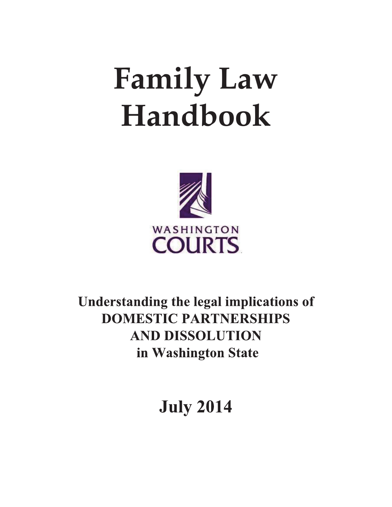# **Family Law Handbook**



Understanding the legal implications of **DOMESTIC PARTNERSHIPS AND DISSOLUTION** in Washington State

**July 2014**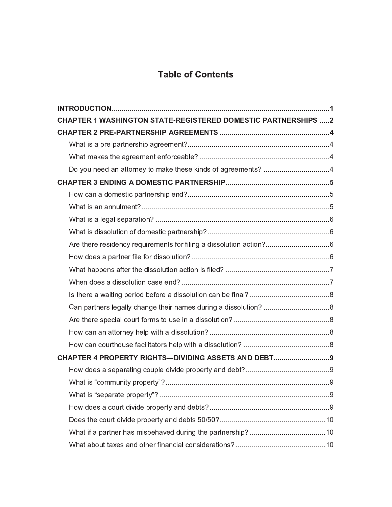## **Table of Contents**

| <b>CHAPTER 1 WASHINGTON STATE-REGISTERED DOMESTIC PARTNERSHIPS 2</b> |  |  |  |
|----------------------------------------------------------------------|--|--|--|
|                                                                      |  |  |  |
|                                                                      |  |  |  |
|                                                                      |  |  |  |
| Do you need an attorney to make these kinds of agreements? 4         |  |  |  |
|                                                                      |  |  |  |
|                                                                      |  |  |  |
|                                                                      |  |  |  |
|                                                                      |  |  |  |
|                                                                      |  |  |  |
| Are there residency requirements for filing a dissolution action?6   |  |  |  |
|                                                                      |  |  |  |
|                                                                      |  |  |  |
|                                                                      |  |  |  |
|                                                                      |  |  |  |
| Can partners legally change their names during a dissolution? 8      |  |  |  |
|                                                                      |  |  |  |
|                                                                      |  |  |  |
|                                                                      |  |  |  |
| CHAPTER 4 PROPERTY RIGHTS-DIVIDING ASSETS AND DEBT9                  |  |  |  |
|                                                                      |  |  |  |
|                                                                      |  |  |  |
|                                                                      |  |  |  |
|                                                                      |  |  |  |
|                                                                      |  |  |  |
|                                                                      |  |  |  |
|                                                                      |  |  |  |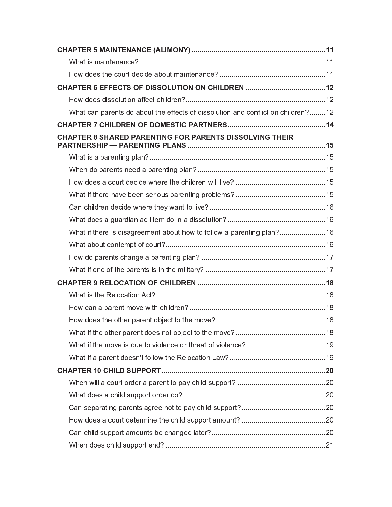| What can parents do about the effects of dissolution and conflict on children?12 |  |  |  |
|----------------------------------------------------------------------------------|--|--|--|
|                                                                                  |  |  |  |
| <b>CHAPTER 8 SHARED PARENTING FOR PARENTS DISSOLVING THEIR</b>                   |  |  |  |
|                                                                                  |  |  |  |
|                                                                                  |  |  |  |
|                                                                                  |  |  |  |
|                                                                                  |  |  |  |
|                                                                                  |  |  |  |
|                                                                                  |  |  |  |
| What if there is disagreement about how to follow a parenting plan?16            |  |  |  |
|                                                                                  |  |  |  |
|                                                                                  |  |  |  |
|                                                                                  |  |  |  |
|                                                                                  |  |  |  |
|                                                                                  |  |  |  |
|                                                                                  |  |  |  |
|                                                                                  |  |  |  |
|                                                                                  |  |  |  |
|                                                                                  |  |  |  |
|                                                                                  |  |  |  |
|                                                                                  |  |  |  |
|                                                                                  |  |  |  |
|                                                                                  |  |  |  |
|                                                                                  |  |  |  |
|                                                                                  |  |  |  |
|                                                                                  |  |  |  |
|                                                                                  |  |  |  |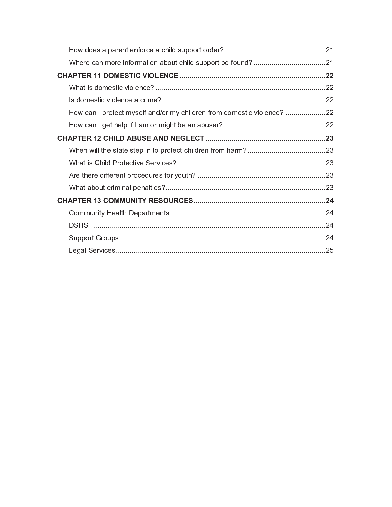| How can I protect myself and/or my children from domestic violence? 22 |  |
|------------------------------------------------------------------------|--|
|                                                                        |  |
|                                                                        |  |
|                                                                        |  |
|                                                                        |  |
|                                                                        |  |
|                                                                        |  |
|                                                                        |  |
|                                                                        |  |
|                                                                        |  |
|                                                                        |  |
|                                                                        |  |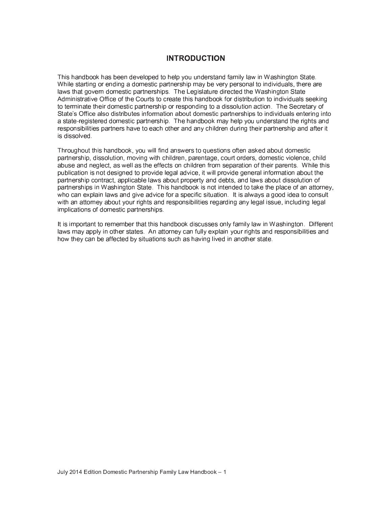## **INTRODUCTION**

This handbook has been developed to help you understand family law in Washington State. While starting or ending a domestic partnership may be very personal to individuals, there are laws that govern domestic partnerships. The Legislature directed the Washington State Administrative Office of the Courts to create this handbook for distribution to individuals seeking to terminate their domestic partnership or responding to a dissolution action. The Secretary of State's Office also distributes information about domestic partnerships to individuals entering into a state-registered domestic partnership. The handbook may help you understand the rights and responsibilities partners have to each other and any children during their partnership and after it is dissolved.

Throughout this handbook, you will find answers to questions often asked about domestic partnership, dissolution, moving with children, parentage, court orders, domestic violence, child abuse and neglect, as well as the effects on children from separation of their parents. While this publication is not designed to provide legal advice, it will provide general information about the partnership contract, applicable laws about property and debts, and laws about dissolution of partnerships in Washington State. This handbook is not intended to take the place of an attorney, who can explain laws and give advice for a specific situation. It is always a good idea to consult with an attorney about your rights and responsibilities regarding any legal issue, including legal implications of domestic partnerships.

It is important to remember that this handbook discusses only family law in Washington. Different laws may apply in other states. An attorney can fully explain your rights and responsibilities and how they can be affected by situations such as having lived in another state.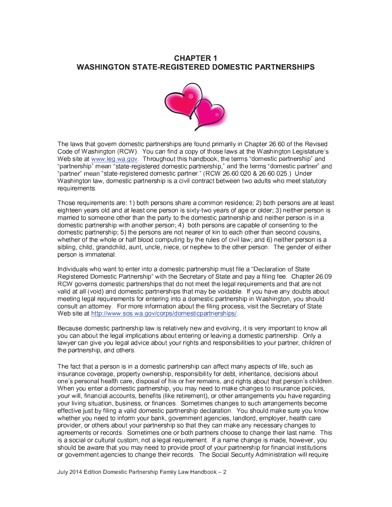## **CHAPTER 1 WASHINGTON STATE-REGISTERED DOMESTIC PARTNERSHIPS**



The laws that govern domestic partnerships are found primarily in Chapter 26.60 of the Revised Code of Washington (RCW). You can find a copy of those laws at the Washington Legislature's Web site at www.leg.wa.gov Throughout this handbook, the terms "domestic partnership" and "partnership" mean "state-registered domestic partnership," and the terms "domestic partner" and "partner" mean "state-registered domestic partner." (RCW 26.60.020 & 26.60.025.) Under Washington law, domestic partnership is a civil contract between two adults who meet statutory requirements.

Those requirements are: 1) both persons share a common residence; 2) both persons are at least eighteen years old and at least one person is sixty-two years of age or older; 3) neither person is married to someone other than the party to the domestic partnership and neither person is in a domestic partnership with another person; 4) both persons are capable of consenting to the domestic partnership; 5) the persons are not nearer of kin to each other than second cousins, whether of the whole or half blood computing by the rules of civil law; and 6) neither person is a sibling, child, grandchild, aunt, uncle, niece, or nephew to the other person. The gender of either person is immaterial.

Individuals who want to enter into a domestic partnership must file a "Declaration of State" Registered Domestic Partnership" with the Secretary of State and pay a filing fee. Chapter 26.09 RCW governs domestic partnerships that do not meet the legal requirements and that are not valid at all (void) and domestic partnerships that may be voidable. If you have any doubts about meeting legal requirements for entering into a domestic partnership in Washington, you should consult an attorney. For more information about the filing process, visit the Secretary of State Web site at http://www.sos.wa.gov/corps/domesticpartnerships/.

Because domestic partnership law is relatively new and evolving, it is very important to know all you can about the legal implications about entering or leaving a domestic partnership. Only a lawyer can give you legal advice about your rights and responsibilities to your partner, children of the partnership, and others.

The fact that a person is in a domestic partnership can affect many aspects of life, such as insurance coverage, property ownership, responsibility for debt, inheritance, decisions about one's personal health care, disposal of his or her remains, and rights about that person's children. When you enter a domestic partnership, you may need to make changes to insurance policies. your will, financial accounts, benefits (like retirement), or other arrangements you have regarding your living situation, business, or finances. Sometimes changes to such arrangements become effective just by filing a valid domestic partnership declaration. You should make sure you know whether you need to inform your bank, government agencies, landlord, employer, health care provider, or others about your partnership so that they can make any necessary changes to agreements or records. Sometimes one or both partners choose to change their last name. This is a social or cultural custom, not a legal requirement. If a name change is made, however, you should be aware that you may need to provide proof of your partnership for financial institutions or government agencies to change their records. The Social Security Administration will require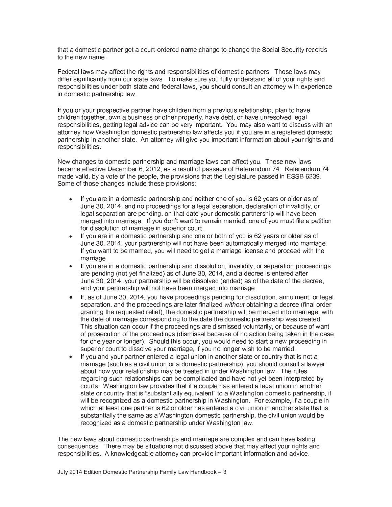that a domestic partner get a court-ordered name change to change the Social Security records to the new name.

Federal laws may affect the rights and responsibilities of domestic partners. Those laws may differ significantly from our state laws. To make sure you fully understand all of your rights and responsibilities under both state and federal laws, you should consult an attorney with experience in domestic partnership law.

If you or your prospective partner have children from a previous relationship, plan to have children together, own a business or other property, have debt, or have unresolved legal responsibilities, getting legal advice can be very important. You may also want to discuss with an attorney how Washington domestic partnership law affects you if you are in a registered domestic partnership in another state. An attorney will give you important information about your rights and responsibilities.

New changes to domestic partnership and marriage laws can affect you. These new laws became effective December 6, 2012, as a result of passage of Referendum 74. Referendum 74 made valid, by a vote of the people, the provisions that the Legislature passed in ESSB 6239. Some of those changes include these provisions:

- If you are in a domestic partnership and neither one of you is 62 years or older as of June 30, 2014, and no proceedings for a legal separation, declaration of invalidity, or legal separation are pending, on that date your domestic partnership will have been merged into marriage. If you don't want to remain married, one of you must file a petition for dissolution of marriage in superior court.
- If you are in a domestic partnership and one or both of you is 62 years or older as of June 30, 2014, your partnership will not have been automatically merged into marriage. If you want to be married, you will need to get a marriage license and proceed with the marriage
- If you are in a domestic partnership and dissolution, invalidity, or separation proceedings are pending (not yet finalized) as of June 30, 2014, and a decree is entered after June 30, 2014, your partnership will be dissolved (ended) as of the date of the decree, and your partnership will not have been merged into marriage.
- If, as of June 30, 2014, you have proceedings pending for dissolution, annulment, or legal separation, and the proceedings are later finalized without obtaining a decree (final order granting the reguested relief), the domestic partnership will be merged into marriage, with the date of marriage corresponding to the date the domestic partnership was created. This situation can occur if the proceedings are dismissed voluntarily, or because of want of prosecution of the proceedings (dismissal because of no action being taken in the case for one year or longer). Should this occur, you would need to start a new proceeding in superior court to dissolve your marriage, if you no longer wish to be married.
- If you and your partner entered a legal union in another state or country that is not a marriage (such as a civil union or a domestic partnership), you should consult a lawver about how your relationship may be treated in under Washington law. The rules regarding such relationships can be complicated and have not vet been interpreted by courts. Washington law provides that if a couple has entered a legal union in another state or country that is "substantially equivalent" to a Washington domestic partnership, it will be recognized as a domestic partnership in Washington. For example, if a couple in which at least one partner is 62 or older has entered a civil union in another state that is substantially the same as a Washington domestic partnership, the civil union would be recognized as a domestic partnership under Washington law.

The new laws about domestic partnerships and marriage are complex and can have lasting consequences. There may be situations not discussed above that may affect your rights and responsibilities. A knowledgeable attorney can provide important information and advice.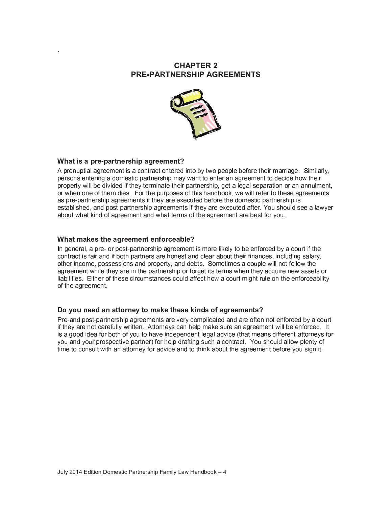## **CHAPTER 2 PRE-PARTNERSHIP AGREEMENTS**



#### What is a pre-partnership agreement?

A prenuptial agreement is a contract entered into by two people before their marriage. Similarly, persons entering a domestic partnership may want to enter an agreement to decide how their property will be divided if they terminate their partnership, get a legal separation or an annulment, or when one of them dies. For the purposes of this handbook, we will refer to these agreements as pre-partnership agreements if they are executed before the domestic partnership is established, and post-partnership agreements if they are executed after. You should see a lawyer about what kind of agreement and what terms of the agreement are best for you.

#### What makes the agreement enforceable?

In general, a pre- or post-partnership agreement is more likely to be enforced by a court if the contract is fair and if both partners are honest and clear about their finances, including salary, other income, possessions and property, and debts. Sometimes a couple will not follow the agreement while they are in the partnership or forget its terms when they acquire new assets or liabilities. Either of these circumstances could affect how a court might rule on the enforceability of the agreement.

#### Do you need an attorney to make these kinds of agreements?

Pre-and post-partnership agreements are very complicated and are often not enforced by a court if they are not carefully written. Attorneys can help make sure an agreement will be enforced. It is a good idea for both of you to have independent legal advice (that means different attorneys for you and your prospective partner) for help drafting such a contract. You should allow plenty of time to consult with an attorney for advice and to think about the agreement before you sign it.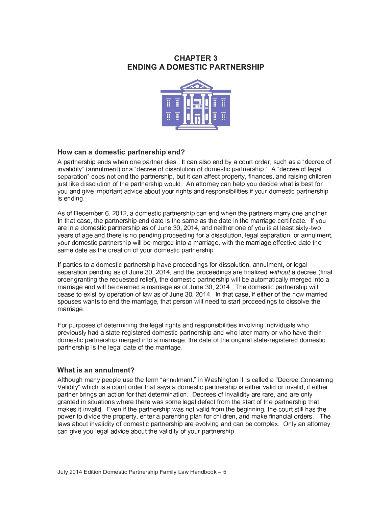## **CHAPTER 3 ENDING A DOMESTIC PARTNERSHIP**



#### How can a domestic partnership end?

A partnership ends when one partner dies. It can also end by a court order, such as a "decree of invalidity" (annulment) or a "decree of dissolution of domestic partnership." A "decree of legal separation" does not end the partnership, but it can affect property, finances, and raising children just like dissolution of the partnership would. An attorney can help you decide what is best for you and give important advice about your rights and responsibilities if your domestic partnership is ending

As of December 6, 2012, a domestic partnership can end when the partners marry one another. In that case, the partnership end date is the same as the date in the marriage certificate. If you are in a domestic partnership as of June 30, 2014, and neither one of you is at least sixty-two years of age and there is no pending proceeding for a dissolution, legal separation, or annulment, your domestic partnership will be merged into a marriage, with the marriage effective date the same date as the creation of your domestic partnership.

If parties to a domestic partnership have proceedings for dissolution, annulment, or legal separation pending as of June 30, 2014, and the proceedings are finalized without a decree (final order granting the requested relief), the domestic partnership will be automatically merged into a marriage and will be deemed a marriage as of June 30, 2014. The domestic partnership will cease to exist by operation of law as of June 30, 2014. In that case, if either of the now married spouses wants to end the marriage, that person will need to start proceedings to dissolve the marriage

For purposes of determining the legal rights and responsibilities involving individuals who previously had a state-registered domestic partnership and who later marry or who have their domestic partnership merged into a marriage, the date of the original state-registered domestic partnership is the legal date of the marriage.

#### What is an annulment?

Although many people use the term "annulment," in Washington it is called a "Decree Concerning Validity" which is a court order that says a domestic partnership is either valid or invalid, if either partner brings an action for that determination. Decrees of invalidity are rare, and are only granted in situations where there was some legal defect from the start of the partnership that makes it invalid. Even if the partnership was not valid from the beginning, the court still has the power to divide the property, enter a parenting plan for children, and make financial orders. The laws about invalidity of domestic partnership are evolying and can be complex. Only an attorney can give you legal advice about the validity of your partnership.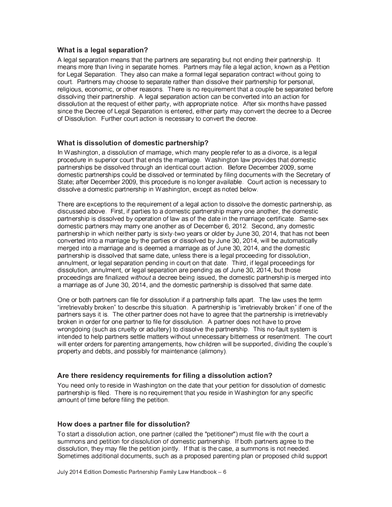#### What is a legal separation?

A legal separation means that the partners are separating but not ending their partnership. It means more than living in separate homes. Partners may file a legal action, known as a Petition for Legal Separation. They also can make a formal legal separation contract without going to court. Partners may choose to separate rather than dissolve their partnership for personal, religious, economic, or other reasons. There is no requirement that a couple be separated before dissolving their partnership. A legal separation action can be converted into an action for dissolution at the request of either party, with appropriate notice. After six months have passed since the Decree of Legal Separation is entered, either party may convert the decree to a Decree of Dissolution. Further court action is necessary to convert the decree.

#### What is dissolution of domestic partnership?

In Washington, a dissolution of marriage, which many people refer to as a divorce, is a legal procedure in superior court that ends the marriage. Washington law provides that domestic partnerships be dissolved through an identical court action. Before December 2009, some domestic partnerships could be dissolved or terminated by filing documents with the Secretary of State; after December 2009, this procedure is no longer available. Court action is necessary to dissolve a domestic partnership in Washington, except as noted below.

There are exceptions to the requirement of a legal action to dissolve the domestic partnership, as discussed above. First, if parties to a domestic partnership marry one another, the domestic partnership is dissolved by operation of law as of the date in the marriage certificate. Same-sex domestic partners may marry one another as of December 6, 2012. Second, any domestic partnership in which neither party is sixty-two years or older by June 30, 2014, that has not been converted into a marriage by the parties or dissolved by June 30, 2014, will be automatically merged into a marriage and is deemed a marriage as of June 30, 2014, and the domestic partnership is dissolved that same date, unless there is a legal proceeding for dissolution, annulment, or legal separation pending in court on that date. Third, if legal proceedings for dissolution, annulment, or legal separation are pending as of June 30, 2014, but those proceedings are finalized without a decree being issued, the domestic partnership is merged into a marriage as of June 30, 2014, and the domestic partnership is dissolved that same date.

One or both partners can file for dissolution if a partnership falls apart. The law uses the term "irretrievably broken" to describe this situation. A partnership is "irretrievably broken" if one of the partners says it is. The other partner does not have to agree that the partnership is irretrievably broken in order for one partner to file for dissolution. A partner does not have to prove wrongdoing (such as cruelty or adultery) to dissolve the partnership. This no-fault system is intended to help partners settle matters without unnecessary bitterness or resentment. The court will enter orders for parenting arrangements, how children will be supported, dividing the couple's property and debts, and possibly for maintenance (alimony).

#### Are there residency requirements for filing a dissolution action?

You need only to reside in Washington on the date that your petition for dissolution of domestic partnership is filed. There is no requirement that you reside in Washington for any specific amount of time before filing the petition.

#### How does a partner file for dissolution?

To start a dissolution action, one partner (called the "petitioner") must file with the court a summons and petition for dissolution of domestic partnership. If both partners agree to the dissolution, they may file the petition jointly. If that is the case, a summons is not needed. Sometimes additional documents, such as a proposed parenting plan or proposed child support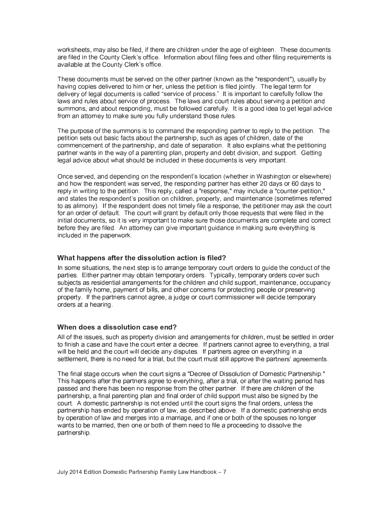worksheets, may also be filed, if there are children under the age of eighteen. These documents are filed in the County Clerk's office. Information about filing fees and other filing requirements is available at the County Clerk's office.

These documents must be served on the other partner (known as the "respondent"), usually by having copies delivered to him or her, unless the petition is filed jointly. The legal term for delivery of legal documents is called "service of process." It is important to carefully follow the laws and rules about service of process. The laws and court rules about serving a petition and summons, and about responding, must be followed carefully. It is a good idea to get legal advice from an attorney to make sure you fully understand those rules.

The purpose of the summons is to command the responding partner to reply to the petition. The petition sets out basic facts about the partnership, such as ages of children, date of the commencement of the partnership, and date of separation. It also explains what the petitioning partner wants in the way of a parenting plan, property and debt division, and support. Getting legal advice about what should be included in these documents is very important.

Once served, and depending on the respondent's location (whether in Washington or elsewhere) and how the respondent was served, the responding partner has either 20 days or 60 days to reply in writing to the petition. This reply, called a "response," may include a "counter-petition." and states the respondent's position on children, property, and maintenance (sometimes referred to as alimony). If the respondent does not timely file a response, the petitioner may ask the court for an order of default. The court will grant by default only those requests that were filed in the initial documents, so it is very important to make sure those documents are complete and correct before they are filed. An attorney can give important guidance in making sure everything is included in the paperwork.

#### What happens after the dissolution action is filed?

In some situations, the next step is to arrange temporary court orders to guide the conduct of the parties. Either partner may obtain temporary orders. Typically, temporary orders cover such subjects as residential arrangements for the children and child support, maintenance, occupancy of the family home, payment of bills, and other concerns for protecting people or preserving property. If the partners cannot agree, a judge or court commissioner will decide temporary orders at a hearing.

#### When does a dissolution case end?

All of the issues, such as property division and arrangements for children, must be settled in order to finish a case and have the court enter a decree. If partners cannot agree to everything, a trial will be held and the court will decide any disputes. If partners agree on everything in a settlement, there is no need for a trial, but the court must still approve the partners' agreements.

The final stage occurs when the court signs a "Decree of Dissolution of Domestic Partnership." This happens after the partners agree to everything, after a trial, or after the waiting period has passed and there has been no response from the other partner. If there are children of the partnership, a final parenting plan and final order of child support must also be signed by the court. A domestic partnership is not ended until the court signs the final orders, unless the partnership has ended by operation of law, as described above. If a domestic partnership ends by operation of law and merges into a marriage, and if one or both of the spouses no longer wants to be married, then one or both of them need to file a proceeding to dissolve the partnership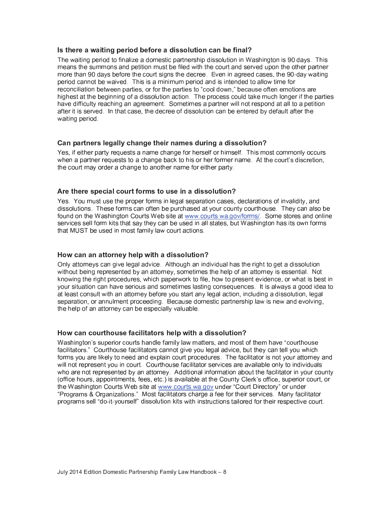#### Is there a waiting period before a dissolution can be final?

The waiting period to finalize a domestic partnership dissolution in Washington is 90 days. This means the summons and petition must be filed with the court and served upon the other partner more than 90 days before the court signs the decree. Even in agreed cases, the 90-day waiting period cannot be waived. This is a minimum period and is intended to allow time for reconciliation between parties, or for the parties to "cool down," because often emotions are highest at the beginning of a dissolution action. The process could take much longer if the parties have difficulty reaching an agreement. Sometimes a partner will not respond at all to a petition after it is served. In that case, the decree of dissolution can be entered by default after the waiting period.

#### Can partners legally change their names during a dissolution?

Yes, if either party requests a name change for herself or himself. This most commonly occurs when a partner requests to a change back to his or her former name. At the court's discretion, the court may order a change to another name for either party.

#### Are there special court forms to use in a dissolution?

Yes. You must use the proper forms in legal separation cases, declarations of invalidity, and dissolutions. These forms can often be purchased at your county courthouse. They can also be found on the Washington Courts Web site at www.courts.wa.gov/forms/. Some stores and online services sell form kits that say they can be used in all states, but Washington has its own forms that MUST be used in most family law court actions.

#### How can an attorney help with a dissolution?

Only attorneys can give legal advice. Although an individual has the right to get a dissolution without being represented by an attorney, sometimes the help of an attorney is essential. Not knowing the right procedures, which paperwork to file, how to present evidence, or what is best in vour situation can have serious and sometimes lasting consequences. It is always a good idea to at least consult with an attorney before you start any legal action, including a dissolution, legal separation, or annulment proceeding. Because domestic partnership law is new and evolving, the help of an attorney can be especially valuable.

#### How can courthouse facilitators help with a dissolution?

Washington's superior courts handle family law matters, and most of them have "courthouse" facilitators." Courthouse facilitators cannot give you legal advice, but they can tell you which forms you are likely to need and explain court procedures. The facilitator is not your attorney and will not represent you in court. Courthouse facilitator services are available only to individuals who are not represented by an attorney. Additional information about the facilitator in your county (office hours, appointments, fees, etc.) is available at the County Clerk's office, superior court, or the Washington Courts Web site at www.courts.wa.gov under "Court Directory" or under "Programs & Organizations." Most facilitators charge a fee for their services. Many facilitator programs sell "do-it-vourself" dissolution kits with instructions tailored for their respective court.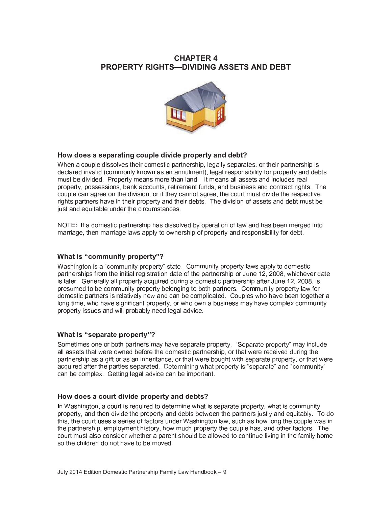## **CHAPTER 4 PROPERTY RIGHTS-DIVIDING ASSETS AND DEBT**



### How does a separating couple divide property and debt?

When a couple dissolves their domestic partnership, legally separates, or their partnership is declared invalid (commonly known as an annulment), legal responsibility for property and debts must be divided. Property means more than land - it means all assets and includes real property, possessions, bank accounts, retirement funds, and business and contract rights. The couple can agree on the division, or if they cannot agree, the court must divide the respective rights partners have in their property and their debts. The division of assets and debt must be just and equitable under the circumstances.

NOTE: If a domestic partnership has dissolved by operation of law and has been merged into marriage, then marriage laws apply to ownership of property and responsibility for debt.

#### What is "community property"?

Washington is a "community property" state. Community property laws apply to domestic partnerships from the initial registration date of the partnership or June 12, 2008, whichever date is later. Generally all property acquired during a domestic partnership after June 12, 2008, is presumed to be community property belonging to both partners. Community property law for domestic partners is relatively new and can be complicated. Couples who have been together a long time, who have significant property, or who own a business may have complex community property issues and will probably need legal advice.

#### What is "separate property"?

Sometimes one or both partners may have separate property. "Separate property" may include all assets that were owned before the domestic partnership, or that were received during the partnership as a gift or as an inheritance, or that were bought with separate property, or that were acquired after the parties separated. Determining what property is "separate" and "community" can be complex. Getting legal advice can be important.

#### How does a court divide property and debts?

In Washington, a court is required to determine what is separate property, what is community property, and then divide the property and debts between the partners justly and equitably. To do this, the court uses a series of factors under Washington law, such as how long the couple was in the partnership, employment history, how much property the couple has, and other factors. The court must also consider whether a parent should be allowed to continue living in the family home so the children do not have to be moved.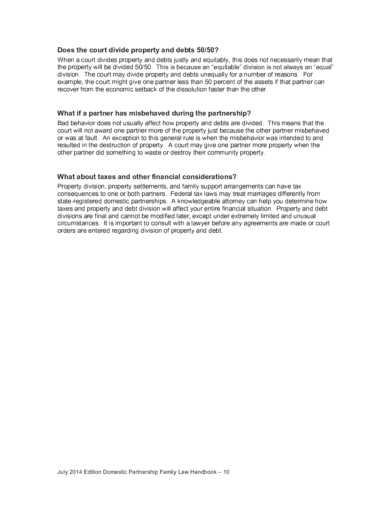#### Does the court divide property and debts 50/50?

When a court divides property and debts justly and equitably, this does not necessarily mean that the property will be divided 50/50. This is because an "equitable" division is not always an "equal" division. The court may divide property and debts unequally for a number of reasons. For example, the court might give one partner less than 50 percent of the assets if that partner can recover from the economic setback of the dissolution faster than the other

#### What if a partner has misbehaved during the partnership?

Bad behavior does not usually affect how property and debts are divided. This means that the court will not award one partner more of the property just because the other partner misbehaved or was at fault. An exception to this general rule is when the misbehavior was intended to and resulted in the destruction of property. A court may give one partner more property when the other partner did something to waste or destroy their community property.

#### What about taxes and other financial considerations?

Property division, property settlements, and family support arrangements can have tax consequences to one or both partners. Federal tax laws may treat marriages differently from state-registered domestic partnerships. A knowledgeable attorney can help you determine how taxes and property and debt division will affect your entire financial situation. Property and debt divisions are final and cannot be modified later, except under extremely limited and unusual circumstances. It is important to consult with a lawver before any agreements are made or court orders are entered regarding division of property and debt.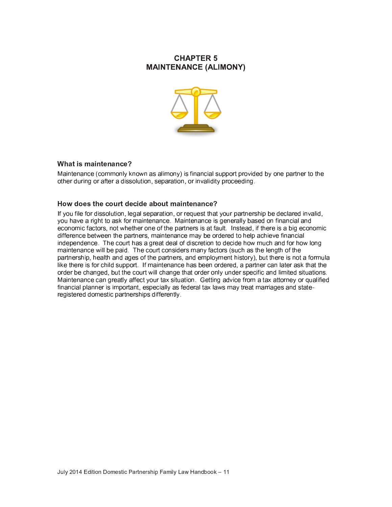## **CHAPTER 5 MAINTENANCE (ALIMONY)**



#### What is maintenance?

Maintenance (commonly known as alimony) is financial support provided by one partner to the other during or after a dissolution, separation, or invalidity proceeding.

#### How does the court decide about maintenance?

If you file for dissolution, legal separation, or request that your partnership be declared invalid, you have a right to ask for maintenance. Maintenance is generally based on financial and economic factors, not whether one of the partners is at fault. Instead, if there is a big economic difference between the partners, maintenance may be ordered to help achieve financial independence. The court has a great deal of discretion to decide how much and for how long maintenance will be paid. The court considers many factors (such as the length of the partnership, health and ages of the partners, and employment history), but there is not a formula like there is for child support. If maintenance has been ordered, a partner can later ask that the order be changed, but the court will change that order only under specific and limited situations. Maintenance can greatly affect your tax situation. Getting advice from a tax attorney or qualified financial planner is important, especially as federal tax laws may treat marriages and stateregistered domestic partnerships differently.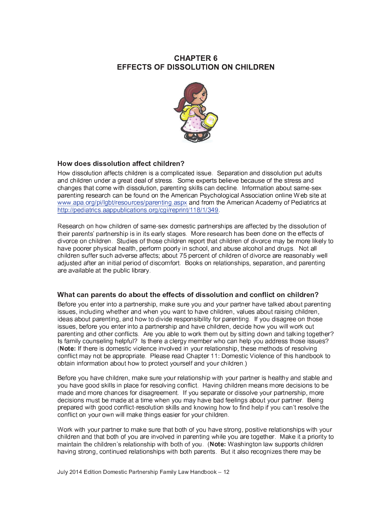## **CHAPTER 6 EFFECTS OF DISSOLUTION ON CHILDREN**



#### How does dissolution affect children?

How dissolution affects children is a complicated issue. Separation and dissolution put adults and children under a great deal of stress. Some experts believe because of the stress and changes that come with dissolution, parenting skills can decline. Information about same-sex parenting research can be found on the American Psychological Association online Web site at www.apa.org/pi/lgbt/resources/parenting.aspx and from the American Academy of Pediatrics at http://pediatrics.aappublications.org/cgi/reprint/118/1/349

Research on how children of same-sex domestic partnerships are affected by the dissolution of their parents' partnership is in its early stages. More research has been done on the effects of divorce on children. Studies of those children report that children of divorce may be more likely to have poorer physical health, perform poorly in school, and abuse alcohol and drugs. Not all children suffer such adverse affects; about 75 percent of children of divorce are reasonably well adjusted after an initial period of discomfort. Books on relationships, separation, and parenting are available at the public library.

#### What can parents do about the effects of dissolution and conflict on children?

Before you enter into a partnership, make sure you and your partner have talked about parenting issues, including whether and when you want to have children, values about raising children, ideas about parenting, and how to divide responsibility for parenting. If you disagree on those issues, before you enter into a partnership and have children, decide how you will work out parenting and other conflicts. Are you able to work them out by sitting down and talking together? Is family counseling helpful? Is there a clergy member who can help you address those issues? (Note: If there is domestic violence involved in your relationship, these methods of resolving conflict may not be appropriate. Please read Chapter 11: Domestic Violence of this handbook to obtain information about how to protect yourself and your children.)

Before you have children, make sure your relationship with your partner is healthy and stable and you have good skills in place for resolving conflict. Having children means more decisions to be made and more chances for disagreement. If you separate or dissolve your partnership, more decisions must be made at a time when you may have bad feelings about your partner. Being prepared with good conflict-resolution skills and knowing how to find help if you can't resolve the conflict on your own will make things easier for your children.

Work with your partner to make sure that both of you have strong, positive relationships with your children and that both of you are involved in parenting while you are together. Make it a priority to maintain the children's relationship with both of you. (Note: Washington law supports children having strong, continued relationships with both parents. But it also recognizes there may be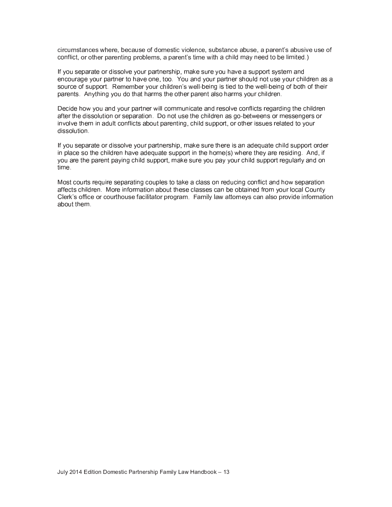circumstances where, because of domestic violence, substance abuse, a parent's abusive use of § § ¨ ¸ <sup>º</sup> ¸ ® <sup>À</sup> ° <sup>º</sup> ¿ ¯ <sup>º</sup> ° <sup>½</sup> ® <sup>µ</sup> <sup>½</sup> <sup>Â</sup> ¿ <sup>º</sup> ¸ » · ° <sup>¾</sup> <sup>²</sup> <sup>è</sup> ¯ ¿ ¯ <sup>º</sup> ° <sup>½</sup> ® <sup>±</sup> <sup>²</sup> ® <sup>µ</sup> <sup>¾</sup> ° <sup>ñ</sup> <sup>µ</sup> ® <sup>À</sup> § ¡ ¡ ¦ Í

If you separate or dissolve your partnership, make sure you have a support system and encourage your partner to have one, too. You and your partner should not use your children as a source of support. Remember your children's well-being is tied to the well-being of both of their parents. Anything you do that harms the other parent also harms your children.

Decide how you and your partner will communicate and resolve conflicts regarding the children after the dissolution or separation. Do not use the children as go-betweens or messengers or involve them in adult conflicts about parenting, child support, or other issues related to your dissolution.

If you separate or dissolve your partnership, make sure there is an adequate child support order in place so the children have adequate support in the home(s) where they are residing. And, if you are the parent paying child support, make sure you pay your child support regularly and on time.

 § <sup>Ä</sup> ¤ § § § ¤ § § ¢ affects children. More information about these classes can be obtained from your local County <sup>Ô</sup> · ° <sup>º</sup> <sup>±</sup> <sup>²</sup> ¸ ´ ´ <sup>µ</sup> ¶ ° ¸ <sup>º</sup> ¶ ¸ <sup>¼</sup> <sup>º</sup> ® <sup>À</sup> ¸ <sup>¼</sup> <sup>²</sup> ° ´ ¯ ¶ <sup>µ</sup> · <sup>µ</sup> ® ¯ ® ¸ <sup>º</sup> ¿ <sup>º</sup> ¸ <sup>Â</sup> <sup>º</sup> ¯ <sup>¾</sup> <sup>Ñ</sup> @ ¯ <sup>¾</sup> <sup>µ</sup> · <sup>ð</sup> · ¯ <sup>ñ</sup> ¯ ® ® ¸ <sup>º</sup> <sup>½</sup> ° <sup>ð</sup> <sup>²</sup> ¶ ¯ <sup>½</sup> ¯ · <sup>²</sup> ¸ ¿ <sup>º</sup> ¸ <sup>Á</sup> <sup>µ</sup> <sup>¹</sup> ° <sup>µ</sup> <sup>½</sup> ´ ¸ <sup>º</sup> <sup>¾</sup> ¯ ® <sup>µ</sup> ¸ <sup>½</sup> about them.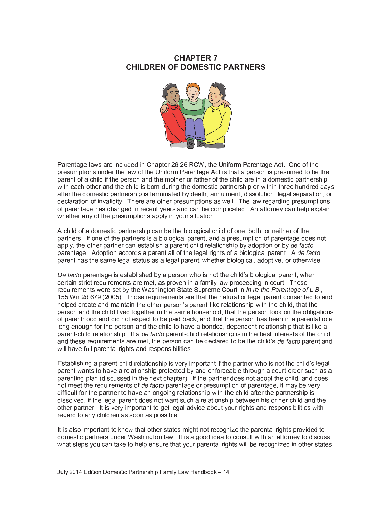## **CHAPTER 7 CHILDREN OF DOMESTIC PARTNERS**



Parentage laws are included in Chapter 26.26 RCW, the Uniform Parentage Act. One of the presumptions under the law of the Uniform Parentage Act is that a person is presumed to be the parent of a child if the person and the mother or father of the child are in a domestic partnership with each other and the child is born during the domestic partnership or within three hundred days after the domestic partnership is terminated by death, annulment, dissolution, legal separation, or declaration of invalidity. There are other presumptions as well. The law regarding presumptions of parentage has changed in recent years and can be complicated. An attorney can help explain whether any of the presumptions apply in your situation.

A child of a domestic partnership can be the biological child of one, both, or neither of the partners. If one of the partners is a biological parent, and a presumption of parentage does not apply, the other partner can establish a parent-child relationship by adoption or by de facto parentage. Adoption accords a parent all of the legal rights of a biological parent. A de facto parent has the same legal status as a legal parent, whether biological, adoptive, or otherwise.

De facto parentage is established by a person who is not the child's biological parent, when certain strict requirements are met, as proven in a family law proceeding in court. Those requirements were set by the Washington State Supreme Court in In re the Parentage of L.B., 155 Wn.2d 679 (2005). Those requirements are that the natural or legal parent consented to and helped create and maintain the other person's parent-like relationship with the child, that the person and the child lived together in the same household, that the person took on the obligations of parenthood and did not expect to be paid back, and that the person has been in a parental role long enough for the person and the child to have a bonded, dependent relationship that is like a parent-child relationship. If a de facto parent-child relationship is in the best interests of the child and these requirements are met, the person can be declared to be the child's de facto parent and will have full parental rights and responsibilities.

Establishing a parent-child relationship is very important if the partner who is not the child's legal parent wants to have a relationship protected by and enforceable through a court order such as a parenting plan (discussed in the next chapter). If the partner does not adopt the child, and does not meet the requirements of *de facto* parentage or presumption of parentage, it may be very difficult for the partner to have an ongoing relationship with the child after the partnership is dissolved, if the legal parent does not want such a relationship between his or her child and the other partner. It is very important to get legal advice about your rights and responsibilities with regard to any children as soon as possible.

It is also important to know that other states might not recognize the parental rights provided to domestic partners under Washington law. It is a good idea to consult with an attorney to discuss what steps you can take to help ensure that your parental rights will be recognized in other states.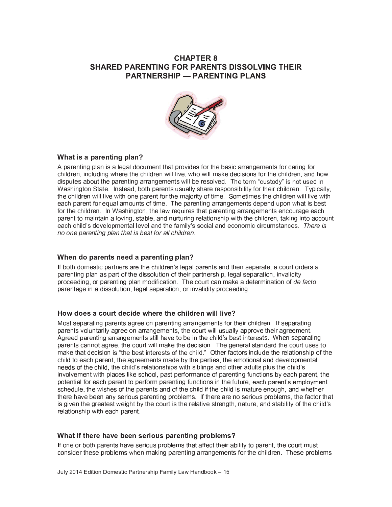## **CHAPTER 8 SHARED PARENTING FOR PARENTS DISSOLVING THEIR PARTNERSHIP — PARENTING PLANS**



#### What is a parenting plan?

A parenting plan is a legal document that provides for the basic arrangements for caring for children, including where the children will live, who will make decisions for the children, and how disputes about the parenting arrangements will be resolved. The term "custody" is not used in Washington State. Instead, both parents usually share responsibility for their children. Typically, the children will live with one parent for the maiority of time. Sometimes the children will live with each parent for equal amounts of time. The parenting arrangements depend upon what is best for the children. In Washington, the law requires that parenting arrangements encourage each parent to maintain a loving, stable, and nurturing relationship with the children, taking into account each child's developmental level and the family's social and economic circumstances. There is no one parenting plan that is best for all children.

#### When do parents need a parenting plan?

If both domestic partners are the children's legal parents and then separate, a court orders a parenting plan as part of the dissolution of their partnership, legal separation, invalidity proceeding, or parenting plan modification. The court can make a determination of de facto parentage in a dissolution, legal separation, or invalidity proceeding.

#### How does a court decide where the children will live?

Most separating parents agree on parenting arrangements for their children. If separating parents voluntarily agree on arrangements, the court will usually approve their agreement. Agreed parenting arrangements still have to be in the child's best interests. When separating parents cannot agree, the court will make the decision. The general standard the court uses to make that decision is "the best interests of the child." Other factors include the relationship of the child to each parent, the agreements made by the parties, the emotional and developmental needs of the child, the child's relationships with siblings and other adults plus the child's involvement with places like school, past performance of parenting functions by each parent, the potential for each parent to perform parenting functions in the future, each parent's employment schedule, the wishes of the parents and of the child if the child is mature enough, and whether there have been any serious parenting problems. If there are no serious problems, the factor that is given the greatest weight by the court is the relative strength, nature, and stability of the child's relationship with each parent.

#### What if there have been serious parenting problems?

If one or both parents have serious problems that affect their ability to parent, the court must consider these problems when making parenting arrangements for the children. These problems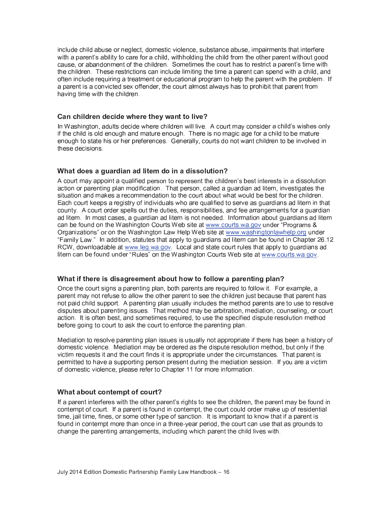include child abuse or neglect, domestic violence, substance abuse, impairments that interfere with a parent's ability to care for a child, withholding the child from the other parent without good cause, or abandonment of the children. Sometimes the court has to restrict a parent's time with the children. These restrictions can include limiting the time a parent can spend with a child, and often include requiring a treatment or educational program to help the parent with the problem. If a parent is a convicted sex offender, the court almost always has to prohibit that parent from having time with the children.

#### und de staat de staat de staat de staat de staat de staat de staat de staat de staat de staat de staat de staa

In Washington, adults decide where children will live. A court may consider a child's wishes only if the child is old enough and mature enough. There is no magic age for a child to be mature enough to state his or her preferences. Generally, courts do not want children to be involved in these decisions

#### <sup>ú</sup> <sup>û</sup> <sup>ü</sup> <sup>þ</sup> <sup>û</sup> <sup>û</sup> <sup>ý</sup> <sup>û</sup> - <sup>û</sup> <sup>ý</sup> <sup>ü</sup> <sup>ý</sup> - <sup>û</sup> <sup>ý</sup> <sup>þ</sup> <sup>þ</sup> <sup>ü</sup> <sup>ý</sup> -

<sup>ª</sup> § ¡ <sup>Ä</sup> ¿ ° <sup>º</sup> <sup>²</sup> ¸ <sup>½</sup> ® ¸ <sup>º</sup> ° ¿ <sup>º</sup> ° <sup>²</sup> ° <sup>½</sup> ® ® <sup>À</sup> ° ¶ <sup>À</sup> <sup>µ</sup> · <sup>¹</sup> <sup>º</sup> ° <sup>½</sup> <sup>±</sup> <sup>²</sup> » ° <sup>²</sup> ® <sup>µ</sup> <sup>½</sup> ® ° <sup>º</sup> ° <sup>²</sup> ® <sup>²</sup> <sup>µ</sup> <sup>½</sup> ¯ <sup>¹</sup> <sup>µ</sup> action or parenting plan modification. That person, called a guardian ad litem, investigates the situation and makes a recommendation to the court about what would be best for the children. Each court keeps a registry of individuals who are qualified to serve as quardians ad litem in that county. A court order spells out the duties, responsibilities, and fee arrangements for a guardian ad litem. In most cases, a guardian ad litem is not needed. Information about guardians ad litem § £ ¤ <sup>¬</sup> £ ¢ ¢ ¢ ¦ § ¦ ¢ ¦ ¤ <sup>¼</sup> <sup>½</sup> <sup>¹</sup> ° <sup>º</sup> <sup>Ï</sup> <sup>º</sup> ¸ <sup>Â</sup> <sup>º</sup> ¯ <sup>¾</sup> <sup>²</sup> <sup>Ù</sup> Organizations" or on the Washington Law Help Web site at www.washingtonlawhelp.org under <sup>Ï</sup> @ ¯ <sup>¾</sup> <sup>µ</sup> · <sup>ð</sup> <sup>W</sup> ¯ <sup>ñ</sup> <sup>Ñ</sup> <sup>Ð</sup> Æ ¨ ¤ ¡ § <sup>¬</sup> <sup>È</sup> <sup>É</sup> ¦ <sup>Ý</sup> <sup>È</sup>  $RCW$ , downloadable at www.leq.wa.qov. Local and state court rules that apply to quardians ad · <sup>µ</sup> ® ° <sup>¾</sup> ¶ ¯ <sup>½</sup> » ° ´ ¸ <sup>¼</sup> <sup>½</sup> <sup>¹</sup> <sup>¼</sup> <sup>½</sup> <sup>¹</sup> ° <sup>º</sup> <sup>Ï</sup> <sup>Ë</sup> <sup>Ð</sup> £ ¤ <sup>¬</sup> £ ¢ ¢ ¢ ¦ § ¦ ¢ ¦ ¤ ¦

#### <sup>ú</sup> <sup>û</sup> <sup>ü</sup> <sup>ý</sup> <sup>ü</sup> <sup>ú</sup> <sup>ý</sup> <sup>þ</sup> <sup>ý</sup> <sup>þ</sup> <sup>û</sup> - <sup>ü</sup> <sup>û</sup> <sup>ü</sup> <sup>ú</sup> <sup>ü</sup> <sup>û</sup> <sup>ÿ</sup> <sup>û</sup> - <sup>ü</sup> <sup>ý</sup> - <sup>ÿ</sup> <sup>û</sup> -

Once the court signs a parenting plan, both parents are required to follow it. For example, a parent may not refuse to allow the other parent to see the children just because that parent has not paid child support. A parenting plan usually includes the method parents are to use to resolve disputes about parenting issues. That method may be arbitration, mediation, counseling, or court action. It is often best, and sometimes required, to use the specified dispute resolution method before going to court to ask the court to enforce the parenting plan.

 ¤ domestic violence. Mediation may be ordered as the dispute resolution method, but only if the victim requests it and the court finds it is appropriate under the circumstances. That parent is permitted to have a supporting person present during the mediation session. If you are a victim of domestic violence, please refer to Chapter 11 for more information.

#### <sup>ú</sup> <sup>û</sup> <sup>ü</sup> <sup>û</sup> <sup>ü</sup> - <sup>ü</sup> <sup>ÿ</sup> <sup>ü</sup> <sup>ü</sup>

<sup>ï</sup> ´ ¯ ¿ ¯ <sup>º</sup> ° <sup>½</sup> ® <sup>µ</sup> <sup>½</sup> ® ° <sup>º</sup> ´ ° <sup>º</sup> ° <sup>²</sup> <sup>ñ</sup> <sup>µ</sup> ® <sup>À</sup> ® <sup>À</sup> ° ¸ ® <sup>À</sup> ° <sup>º</sup> ¿ ¯ <sup>º</sup> ° <sup>½</sup> ® <sup>±</sup> <sup>²</sup> <sup>º</sup> <sup>µ</sup> <sup>Â</sup> <sup>À</sup> ® <sup>²</sup> ® ¸ <sup>²</sup> ° ° ® <sup>À</sup> ° ¶ <sup>À</sup> <sup>µ</sup> · <sup>¹</sup> <sup>º</sup> ° <sup>½</sup> <sup>è</sup> ® <sup>À</sup> ° ¿ ¯ <sup>º</sup> ° <sup>½</sup> ® <sup>¾</sup> ¯ <sup>ð</sup> » ° ´ ¸ <sup>¼</sup> <sup>½</sup> <sup>¹</sup> <sup>µ</sup> <sup>½</sup> contempt of court. If a parent is found in contempt, the court could order make up of residential time, jail time, fines, or some other type of sanction. It is important to know that if a parent is found in contempt more than once in a three-year period, the court can use that as grounds to change the parenting arrangements, including which parent the child lives with.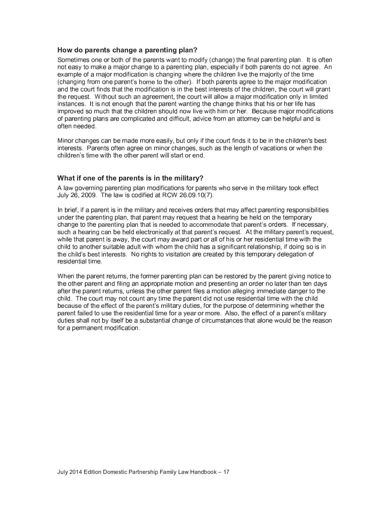#### How do parents change a parenting plan?

Sometimes one or both of the parents want to modify (change) the final parenting plan. It is often not easy to make a major change to a parenting plan, especially if both parents do not agree. An example of a major modification is changing where the children live the majority of the time (changing from one parent's home to the other). If both parents agree to the major modification and the court finds that the modification is in the best interests of the children, the court will grant the request. Without such an agreement, the court will allow a major modification only in limited instances. It is not enough that the parent wanting the change thinks that his or her life has improved so much that the children should now live with him or her. Because major modifications of parenting plans are complicated and difficult, advice from an attorney can be helpful and is often needed.

Minor changes can be made more easily, but only if the court finds it to be in the children's best interests. Parents often agree on minor changes, such as the length of vacations or when the children's time with the other parent will start or end.

#### What if one of the parents is in the military?

A law governing parenting plan modifications for parents who serve in the military took effect July 26, 2009. The law is codified at RCW 26.09.10(7).

In brief, if a parent is in the military and receives orders that may affect parenting responsibilities under the parenting plan, that parent may request that a hearing be held on the temporary change to the parenting plan that is needed to accommodate that parent's orders. If necessary, such a hearing can be held electronically at that parent's request. At the military parent's request, while that parent is away, the court may award part or all of his or her residential time with the child to another suitable adult with whom the child has a significant relationship, if doing so is in the child's best interests. No rights to visitation are created by this temporary delegation of residential time.

When the parent returns, the former parenting plan can be restored by the parent giving notice to the other parent and filing an appropriate motion and presenting an order no later than ten days after the parent returns, unless the other parent files a motion alleging immediate danger to the child. The court may not count any time the parent did not use residential time with the child because of the effect of the parent's military duties, for the purpose of determining whether the parent failed to use the residential time for a year or more. Also, the effect of a parent's military duties shall not by itself be a substantial change of circumstances that alone would be the reason for a permanent modification.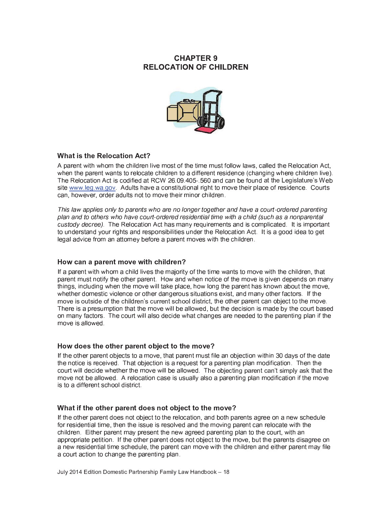## **CHAPTER 9 RELOCATION OF CHILDREN**



#### **What is the Relocation Act?**

A parent with whom the children live most of the time must follow laws, called the Relocation Act. when the parent wants to relocate children to a different residence (changing where children live). The Relocation Act is codified at RCW 26.09.405-.560 and can be found at the Legislature's Web site www.leg.wa.gov. Adults have a constitutional right to move their place of residence. Courts can, however, order adults not to move their minor children.

This law applies only to parents who are no longer together and have a court-ordered parenting plan and to others who have court-ordered residential time with a child (such as a nonparental custody decree). The Relocation Act has many requirements and is complicated. It is important to understand your rights and responsibilities under the Relocation Act. It is a good idea to get legal advice from an attorney before a parent moves with the children.

#### How can a parent move with children?

If a parent with whom a child lives the majority of the time wants to move with the children, that parent must notify the other parent. How and when notice of the move is given depends on many things, including when the move will take place, how long the parent has known about the move, whether domestic violence or other dangerous situations exist, and many other factors. If the move is outside of the children's current school district, the other parent can object to the move. There is a presumption that the move will be allowed, but the decision is made by the court based on many factors. The court will also decide what changes are needed to the parenting plan if the move is allowed.

#### How does the other parent object to the move?

If the other parent objects to a move, that parent must file an objection within 30 days of the date the notice is received. That objection is a request for a parenting plan modification. Then the court will decide whether the move will be allowed. The objecting parent can't simply ask that the move not be allowed. A relocation case is usually also a parenting plan modification if the move is to a different school district

#### What if the other parent does not object to the move?

If the other parent does not object to the relocation, and both parents agree on a new schedule for residential time, then the issue is resolved and the moving parent can relocate with the children. Either parent may present the new agreed parenting plan to the court, with an appropriate petition. If the other parent does not object to the move, but the parents disagree on a new residential time schedule, the parent can move with the children and either parent may file a court action to change the parenting plan.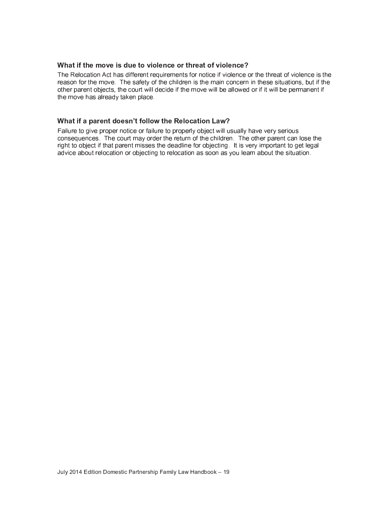#### What if the move is due to violence or threat of violence?

The Relocation Act has different requirements for notice if violence or the threat of violence is the reason for the move. The safety of the children is the main concern in these situations, but if the other parent objects, the court will decide if the move will be allowed or if it will be permanent if the move has already taken place.

#### What if a parent doesn't follow the Relocation Law?

Failure to give proper notice or failure to properly object will usually have very serious consequences. The court may order the return of the children. The other parent can lose the right to object if that parent misses the deadline for objecting. It is very important to get legal advice about relocation or objecting to relocation as soon as you learn about the situation.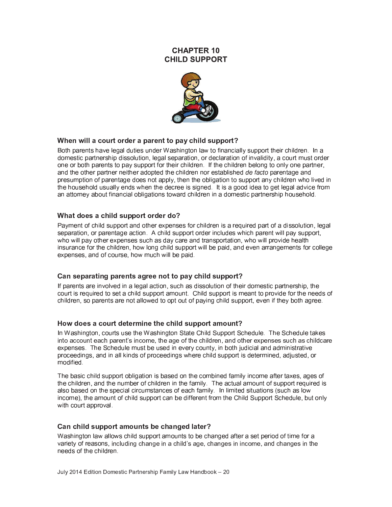#### **CHAPTER 10 CHILD SUPPORT**



#### When will a court order a parent to pay child support?

Both parents have legal duties under Washington law to financially support their children. In a domestic partnership dissolution, legal separation, or declaration of invalidity, a court must order one or both parents to pay support for their children. If the children belong to only one partner, and the other partner neither adopted the children nor established de facto parentage and presumption of parentage does not apply, then the obligation to support any children who lived in the household usually ends when the decree is signed. It is a good idea to get legal advice from an attorney about financial obligations toward children in a domestic partnership household.

#### What does a child support order do?

Payment of child support and other expenses for children is a required part of a dissolution, legal separation, or parentage action. A child support order includes which parent will pay support, who will pay other expenses such as day care and transportation, who will provide health insurance for the children, how long child support will be paid, and even arrangements for college expenses, and of course, how much will be paid.

#### Can separating parents agree not to pay child support?

If parents are involved in a legal action, such as dissolution of their domestic partnership, the court is required to set a child support amount. Child support is meant to provide for the needs of children, so parents are not allowed to opt out of paying child support, even if they both agree.

#### How does a court determine the child support amount?

In Washington, courts use the Washington State Child Support Schedule. The Schedule takes into account each parent's income, the age of the children, and other expenses such as childcare expenses. The Schedule must be used in every county, in both judicial and administrative proceedings, and in all kinds of proceedings where child support is determined, adjusted, or modified.

The basic child support obligation is based on the combined family income after taxes, ages of the children, and the number of children in the family. The actual amount of support required is also based on the special circumstances of each family. In limited situations (such as low income), the amount of child support can be different from the Child Support Schedule, but only with court approval.

#### Can child support amounts be changed later?

Washington law allows child support amounts to be changed after a set period of time for a variety of reasons, including change in a child's age, changes in income, and changes in the needs of the children.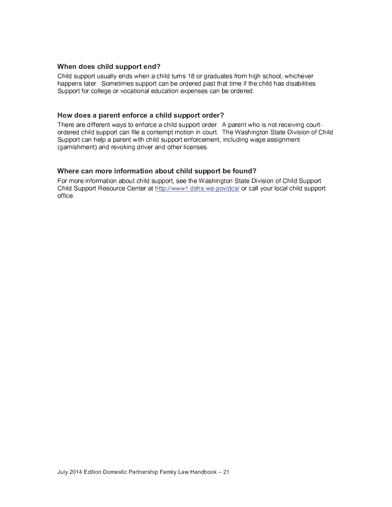#### When does child support end?

Child support usually ends when a child turns 18 or graduates from high school, whichever happens later. Sometimes support can be ordered past that time if the child has disabilities. Support for college or vocational education expenses can be ordered.

#### How does a parent enforce a child support order?

There are different ways to enforce a child support order. A parent who is not receiving courtordered child support can file a contempt motion in court. The Washington State Division of Child Support can help a parent with child support enforcement, including wage assignment (garnishment) and revoking driver and other licenses.

#### Where can more information about child support be found?

For more information about child support, see the Washington State Division of Child Support Child Support Resource Center at http://www1.dshs.wa.gov/dcs/ or call your local child support office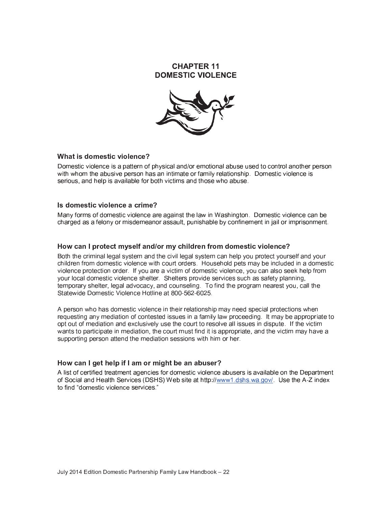#### **CHAPTER 11 DOMESTIC VIOLENCE**



#### What is domestic violence?

Domestic violence is a pattern of physical and/or emotional abuse used to control another person with whom the abusive person has an intimate or family relationship. Domestic violence is serious, and help is available for both victims and those who abuse.

#### Is domestic violence a crime?

Many forms of domestic violence are against the law in Washington. Domestic violence can be charged as a felony or misdemeanor assault, punishable by confinement in jail or imprisonment.

#### How can I protect myself and/or my children from domestic violence?

Both the criminal legal system and the civil legal system can help you protect yourself and your children from domestic violence with court orders. Household pets may be included in a domestic violence protection order. If you are a victim of domestic violence, you can also seek help from your local domestic violence shelter Shelters provide services such as safety planning, temporary shelter, legal advocacy, and counseling. To find the program nearest you, call the Statewide Domestic Violence Hotline at 800-562-6025

A person who has domestic violence in their relationship may need special protections when requesting any mediation of contested issues in a family law proceeding. It may be appropriate to opt out of mediation and exclusively use the court to resolve all issues in dispute. If the victim wants to participate in mediation, the court must find it is appropriate, and the victim may have a supporting person attend the mediation sessions with him or her.

#### How can I get help if I am or might be an abuser?

A list of certified treatment agencies for domestic violence abusers is available on the Department of Social and Health Services (DSHS) Web site at http://www1.dshs.wa.gov/. Use the A-Z index to find "domestic violence services."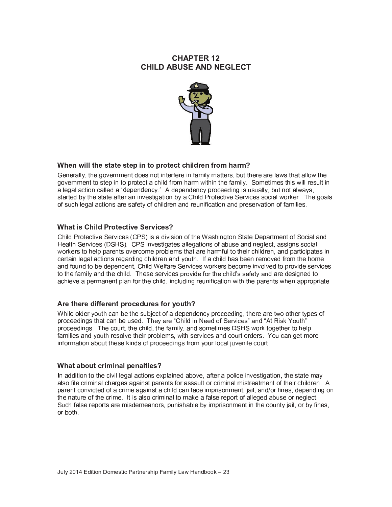## **CHAPTER 12 CHILD ABUSE AND NEGLECT**



## When will the state step in to protect children from harm?

Generally, the government does not interfere in family matters, but there are laws that allow the government to step in to protect a child from harm within the family. Sometimes this will result in a legal action called a "dependency." A dependency proceeding is usually, but not always, started by the state after an investigation by a Child Protective Services social worker. The goals of such legal actions are safety of children and reunification and preservation of families.

#### **What is Child Protective Services?**

Child Protective Services (CPS) is a division of the Washington State Department of Social and Health Services (DSHS). CPS investigates allegations of abuse and neglect, assigns social workers to help parents overcome problems that are harmful to their children, and participates in certain legal actions regarding children and youth. If a child has been removed from the home and found to be dependent, Child Welfare Services workers become involved to provide services to the family and the child. These services provide for the child's safety and are designed to achieve a permanent plan for the child, including reunification with the parents when appropriate.

#### Are there different procedures for youth?

While older youth can be the subject of a dependency proceeding, there are two other types of proceedings that can be used. They are "Child in Need of Services" and "At Risk Youth" proceedings. The court, the child, the family, and sometimes DSHS work together to help families and youth resolve their problems, with services and court orders. You can get more information about these kinds of proceedings from your local juvenile court.

#### What about criminal penalties?

In addition to the civil legal actions explained above, after a police investigation, the state may also file criminal charges against parents for assault or criminal mistreatment of their children. A parent convicted of a crime against a child can face imprisonment, jail, and/or fines, depending on the nature of the crime. It is also criminal to make a false report of alleged abuse or neglect. Such false reports are misdemeanors, punishable by imprisonment in the county jail, or by fines, or both.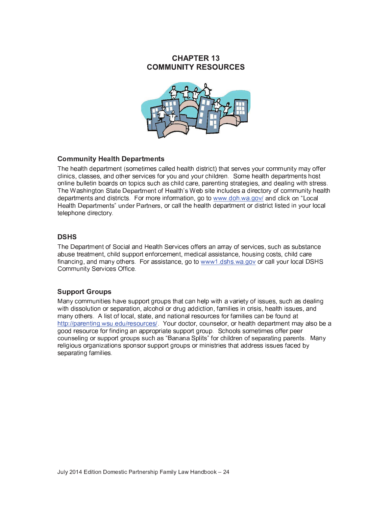## **CHAPTER 13 COMMUNITY RESOURCES**



#### - <sup>ý</sup> <sup>ü</sup> <sup>û</sup> <sup>ü</sup> <sup>ú</sup> <sup>ÿ</sup> <sup>û</sup> <sup>ü</sup> - <sup>ü</sup> <sup>þ</sup>

The health department (sometimes called health district) that serves your community may offer clinics, classes, and other services for you and your children. Some health departments host online bulletin boards on topics such as child care, parenting strategies, and dealing with stress. £ ¤ <sup>½</sup> ® ¯ ® ° <sup>â</sup> ° ¿ ¯ <sup>º</sup> ® <sup>¾</sup> ° <sup>½</sup> ® ¸ ´ <sup>k</sup> ° ¯ · ® <sup>À</sup> <sup>±</sup> <sup>²</sup> <sup>Õ</sup> § § § ¡ ¡ ¡ § ¦ <sup>å</sup> ¡ ¡ ¨ ¤ ¢ ¢ ¢ ¦ ¦ ¢ ¦ ¤ <sup>æ</sup> ¯ <sup>½</sup> <sup>¹</sup> ¶ · <sup>µ</sup> ¶ ¸ <sup>½</sup> <sup>Ï</sup> <sup>W</sup> ¸ ¶ ¯ · k ° ¯ · ® <sup>À</sup> <sup>â</sup> ° ¿ ¯ <sup>º</sup> ® <sup>¾</sup> ° <sup>½</sup> ® <sup>²</sup> <sup>Ð</sup> <sup>¼</sup> <sup>½</sup> <sup>¹</sup> ° <sup>º</sup> ¯ <sup>º</sup> ® <sup>½</sup> ° <sup>º</sup> <sup>²</sup> <sup>è</sup> § ¡ § § telephone directory.

#### \_ \_ \_ \_

The Department of Social and Health Services offers an array of services, such as substance abuse treatment, child support enforcement, medical assistance, housing costs, child care financing, and many others. For assistance, go to www1.dshs.wa.gov or call your local DSHS Community Services Office.

#### Support Groups

 § ¡ ¡ ¤ § ¢ ¨ § ¤ with dissolution or separation, alcohol or drug addiction, families in crisis, health issues, and many others. A list of local, state, and national resources for families can be found at http://parenting.wsu.edu/resources/ Your doctor, counselor, or health department may also be a good resource for finding an appropriate support group. Schools sometimes offer peer ¶ ¸ <sup>¼</sup> <sup>½</sup> <sup>²</sup> ° · <sup>µ</sup> <sup>½</sup> <sup>Â</sup> ¸ <sup>º</sup> <sup>²</sup> <sup>¼</sup> ¿ ¿ ¸ <sup>º</sup> ® <sup>Â</sup> <sup>º</sup> ¸ <sup>¼</sup> ¿ <sup>²</sup> <sup>²</sup> <sup>¼</sup> ¶ <sup>À</sup> ¯ <sup>²</sup> <sup>Ï</sup> <sup>l</sup> ¯ <sup>½</sup> ¯ <sup>½</sup> ¯ ¿ · <sup>µ</sup> ® <sup>²</sup> <sup>Ð</sup> ´ ¸ <sup>º</sup> ¶ <sup>À</sup> <sup>µ</sup> · <sup>¹</sup> <sup>º</sup> ° <sup>½</sup> ¸ ´ <sup>²</sup> ° ¿ ¯ <sup>º</sup> ¯ ® <sup>µ</sup> <sup>½</sup> <sup>Â</sup> ¿ ¯ <sup>º</sup> ° <sup>½</sup> ® <sup>²</sup> <sup>Ñ</sup> religious organizations sponsor support groups or ministries that address issues faced by separating families